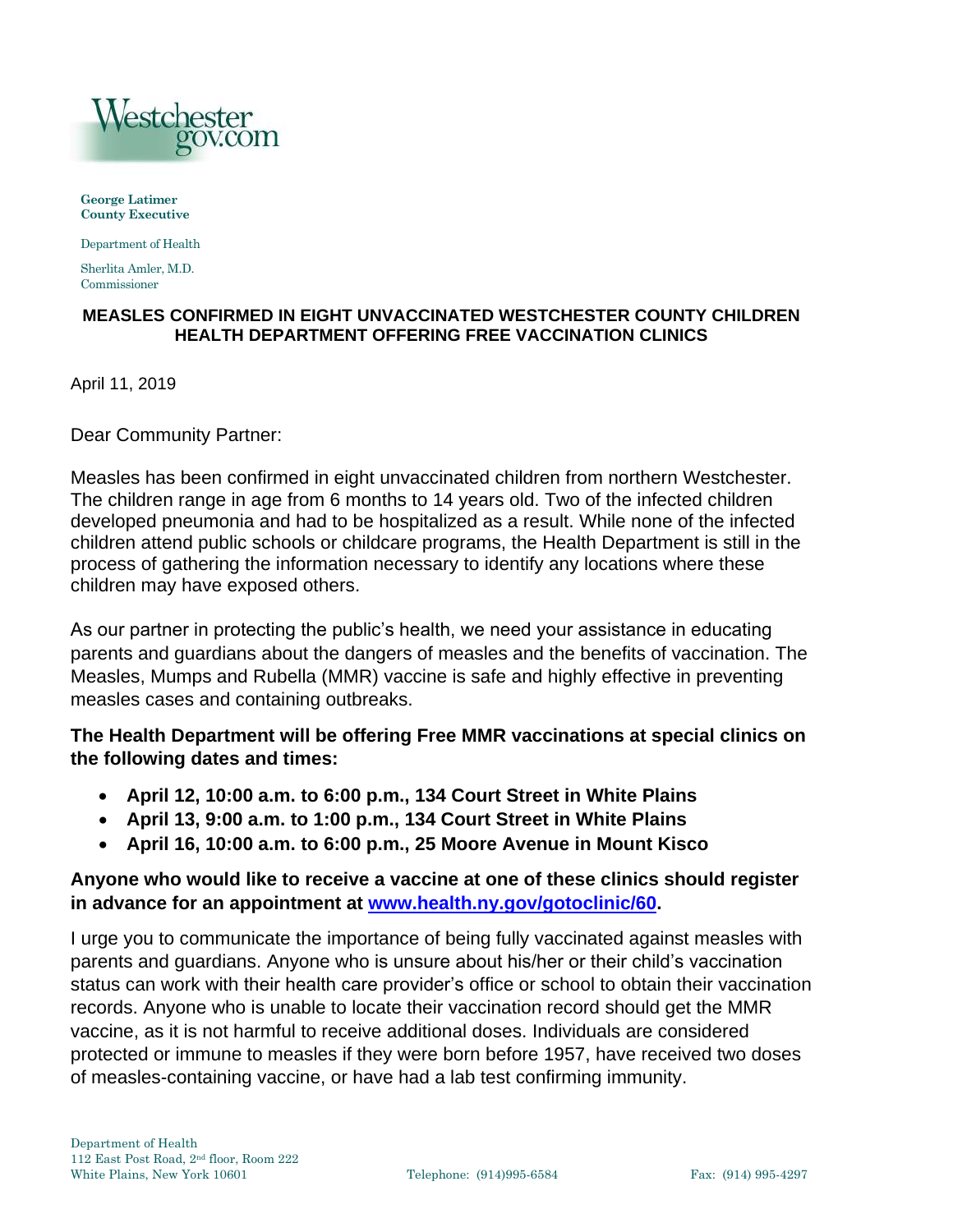

**George Latimer County Executive** 

Department of Health

Sherlita Amler, M.D. Commissioner

## **MEASLES CONFIRMED IN EIGHT UNVACCINATED WESTCHESTER COUNTY CHILDREN HEALTH DEPARTMENT OFFERING FREE VACCINATION CLINICS**

April 11, 2019

Dear Community Partner:

Measles has been confirmed in eight unvaccinated children from northern Westchester. The children range in age from 6 months to 14 years old. Two of the infected children developed pneumonia and had to be hospitalized as a result. While none of the infected children attend public schools or childcare programs, the Health Department is still in the process of gathering the information necessary to identify any locations where these children may have exposed others.

As our partner in protecting the public's health, we need your assistance in educating parents and guardians about the dangers of measles and the benefits of vaccination. The Measles, Mumps and Rubella (MMR) vaccine is safe and highly effective in preventing measles cases and containing outbreaks.

## **The Health Department will be offering Free MMR vaccinations at special clinics on the following dates and times:**

- **April 12, 10:00 a.m. to 6:00 p.m., 134 Court Street in White Plains**
- **April 13, 9:00 a.m. to 1:00 p.m., 134 Court Street in White Plains**
- **April 16, 10:00 a.m. to 6:00 p.m., 25 Moore Avenue in Mount Kisco**

## **Anyone who would like to receive a vaccine at one of these clinics should register in advance for an appointment at [www.health.ny.gov/gotoclinic/60.](http://www.health.ny.gov/gotoclinic/60)**

I urge you to communicate the importance of being fully vaccinated against measles with parents and guardians. Anyone who is unsure about his/her or their child's vaccination status can work with their health care provider's office or school to obtain their vaccination records. Anyone who is unable to locate their vaccination record should get the MMR vaccine, as it is not harmful to receive additional doses. Individuals are considered protected or immune to measles if they were born before 1957, have received two doses of measles-containing vaccine, or have had a lab test confirming immunity.